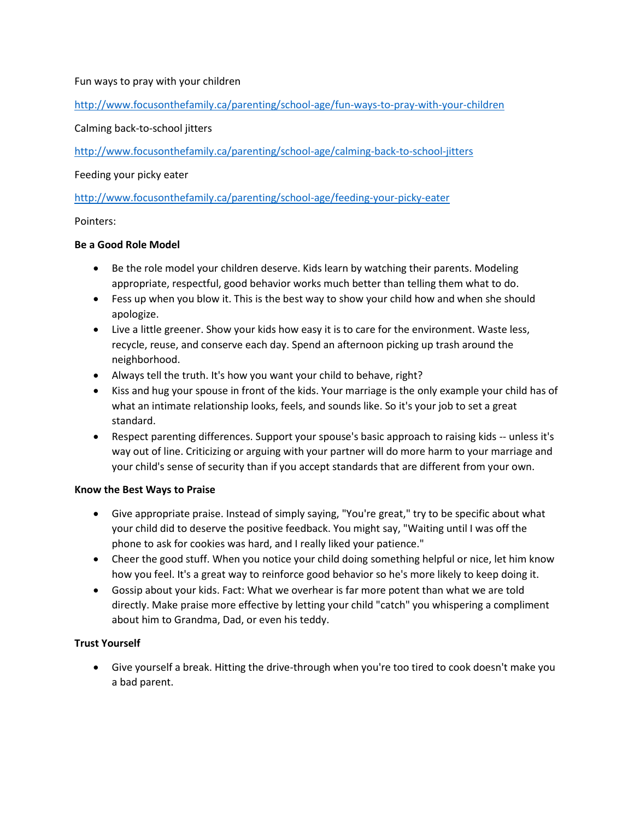### Fun ways to pray with your children

<http://www.focusonthefamily.ca/parenting/school-age/fun-ways-to-pray-with-your-children>

### Calming back-to-school jitters

<http://www.focusonthefamily.ca/parenting/school-age/calming-back-to-school-jitters>

#### Feeding your picky eater

<http://www.focusonthefamily.ca/parenting/school-age/feeding-your-picky-eater>

### Pointers:

### **Be a Good Role Model**

- Be the role model your children deserve. Kids learn by watching their parents. Modeling appropriate, respectful, good behavior works much better than telling them what to do.
- Fess up when you blow it. This is the best way to show your child how and when she should apologize.
- Live a little greener. Show your kids how easy it is to care for the environment. Waste less, recycle, reuse, and conserve each day. Spend an afternoon picking up trash around the neighborhood.
- Always tell the truth. It's how you want your child to behave, right?
- Kiss and hug your spouse in front of the kids. Your marriage is the only example your child has of what an intimate relationship looks, feels, and sounds like. So it's your job to set a great standard.
- Respect parenting differences. Support your spouse's basic approach to raising kids -- unless it's way out of line. Criticizing or arguing with your partner will do more harm to your marriage and your child's sense of security than if you accept standards that are different from your own.

#### **Know the Best Ways to Praise**

- Give appropriate praise. Instead of simply saying, "You're great," try to be specific about what your child did to deserve the positive feedback. You might say, "Waiting until I was off the phone to ask for cookies was hard, and I really liked your patience."
- Cheer the good stuff. When you notice your child doing something helpful or nice, let him know how you feel. It's a great way to reinforce good behavior so he's more likely to keep doing it.
- Gossip about your kids. Fact: What we overhear is far more potent than what we are told directly. Make praise more effective by letting your child "catch" you whispering a compliment about him to Grandma, Dad, or even his teddy.

# **Trust Yourself**

 Give yourself a break. Hitting the drive-through when you're too tired to cook doesn't make you a bad parent.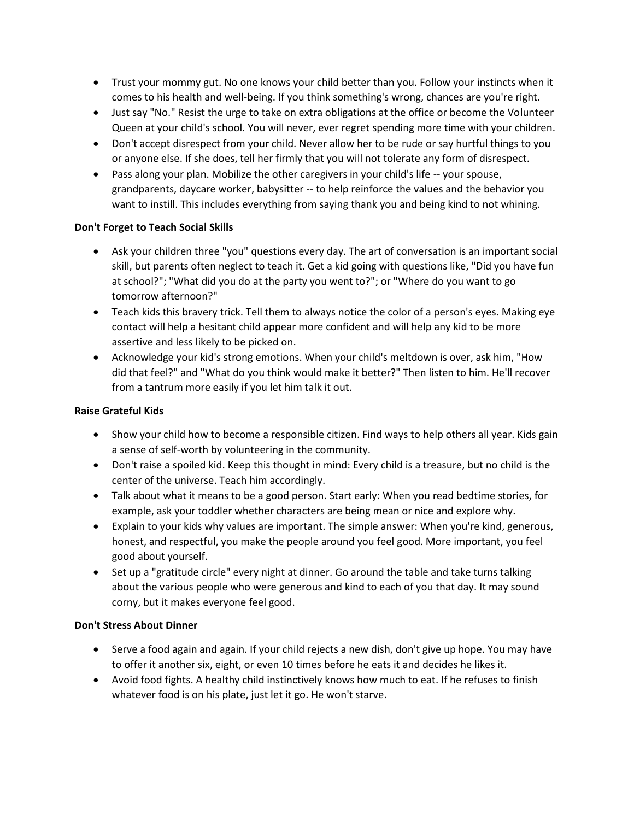- Trust your mommy gut. No one knows your child better than you. Follow your instincts when it comes to his health and well-being. If you think something's wrong, chances are you're right.
- Just say "No." Resist the urge to take on extra obligations at the office or become the Volunteer Queen at your child's school. You will never, ever regret spending more time with your children.
- Don't accept disrespect from your child. Never allow her to be rude or say hurtful things to you or anyone else. If she does, tell her firmly that you will not tolerate any form of disrespect.
- Pass along your plan. Mobilize the other caregivers in your child's life -- your spouse, grandparents, daycare worker, babysitter -- to help reinforce the values and the behavior you want to instill. This includes everything from saying thank you and being kind to not whining.

# **Don't Forget to Teach Social Skills**

- Ask your children three "you" questions every day. The art of conversation is an important social skill, but parents often neglect to teach it. Get a kid going with questions like, "Did you have fun at school?"; "What did you do at the party you went to?"; or "Where do you want to go tomorrow afternoon?"
- Teach kids this bravery trick. Tell them to always notice the color of a person's eyes. Making eye contact will help a hesitant child appear more confident and will help any kid to be more assertive and less likely to be picked on.
- Acknowledge your kid's strong emotions. When your child's meltdown is over, ask him, "How did that feel?" and "What do you think would make it better?" Then listen to him. He'll recover from a tantrum more easily if you let him talk it out.

### **Raise Grateful Kids**

- Show your child how to become a responsible citizen. Find ways to help others all year. Kids gain a sense of self-worth by volunteering in the community.
- Don't raise a spoiled kid. Keep this thought in mind: Every child is a treasure, but no child is the center of the universe. Teach him accordingly.
- Talk about what it means to be a good person. Start early: When you read bedtime stories, for example, ask your toddler whether characters are being mean or nice and explore why.
- Explain to your kids why values are important. The simple answer: When you're kind, generous, honest, and respectful, you make the people around you feel good. More important, you feel good about yourself.
- Set up a "gratitude circle" every night at dinner. Go around the table and take turns talking about the various people who were generous and kind to each of you that day. It may sound corny, but it makes everyone feel good.

#### **Don't Stress About Dinner**

- Serve a food again and again. If your child rejects a new dish, don't give up hope. You may have to offer it another six, eight, or even 10 times before he eats it and decides he likes it.
- Avoid food fights. A healthy child instinctively knows how much to eat. If he refuses to finish whatever food is on his plate, just let it go. He won't starve.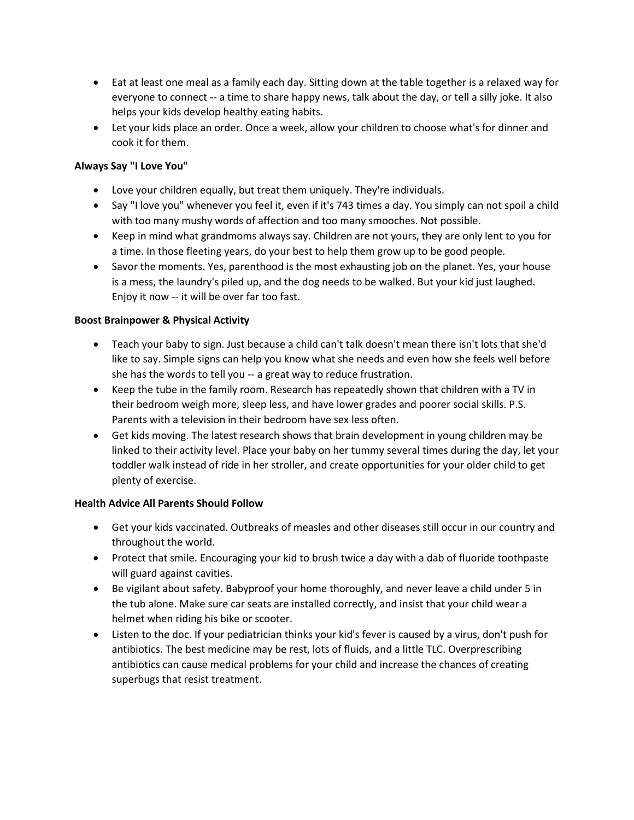- Eat at least one meal as a family each day. Sitting down at the table together is a relaxed way for everyone to connect -- a time to share happy news, talk about the day, or tell a silly joke. It also helps your kids develop healthy eating habits.
- Let your kids place an order. Once a week, allow your children to choose what's for dinner and cook it for them.

# **Always Say "I Love You"**

- Love your children equally, but treat them uniquely. They're individuals.
- Say "I love you" whenever you feel it, even if it's 743 times a day. You simply can not spoil a child with too many mushy words of affection and too many smooches. Not possible.
- Keep in mind what grandmoms always say. Children are not yours, they are only lent to you for a time. In those fleeting years, do your best to help them grow up to be good people.
- Savor the moments. Yes, parenthood is the most exhausting job on the planet. Yes, your house is a mess, the laundry's piled up, and the dog needs to be walked. But your kid just laughed. Enjoy it now -- it will be over far too fast.

# **Boost Brainpower & Physical Activity**

- Teach your baby to sign. Just because a child can't talk doesn't mean there isn't lots that she'd like to say. Simple signs can help you know what she needs and even how she feels well before she has the words to tell you -- a great way to reduce frustration.
- Keep the tube in the family room. Research has repeatedly shown that children with a TV in their bedroom weigh more, sleep less, and have lower grades and poorer social skills. P.S. Parents with a television in their bedroom have sex less often.
- Get kids moving. The latest research shows that brain development in young children may be linked to their activity level. Place your baby on her tummy several times during the day, let your toddler walk instead of ride in her stroller, and create opportunities for your older child to get plenty of exercise.

# **Health Advice All Parents Should Follow**

- Get your kids vaccinated. Outbreaks of measles and other diseases still occur in our country and throughout the world.
- Protect that smile. Encouraging your kid to brush twice a day with a dab of fluoride toothpaste will guard against cavities.
- Be vigilant about safety. Babyproof your home thoroughly, and never leave a child under 5 in the tub alone. Make sure car seats are installed correctly, and insist that your child wear a helmet when riding his bike or scooter.
- Listen to the doc. If your pediatrician thinks your kid's fever is caused by a virus, don't push for antibiotics. The best medicine may be rest, lots of fluids, and a little TLC. Overprescribing antibiotics can cause medical problems for your child and increase the chances of creating superbugs that resist treatment.